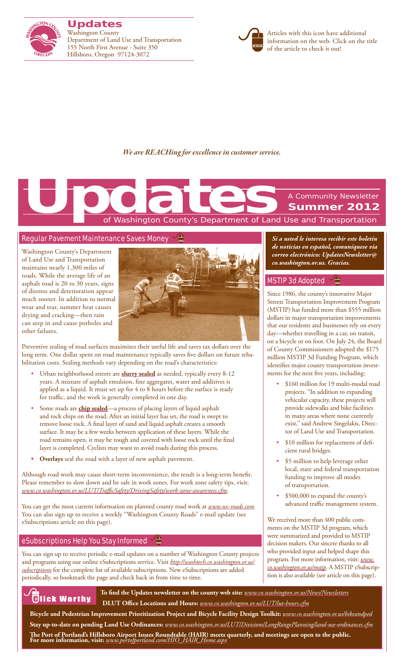

**Updates** Washington County Department of Land Use and Transportation 155 North First Avenue - Suite 350 Hillsboro, Oregon 97124-3072



Articles with this icon have additional information on the web. Click on the title of the article to check it out!

## *We are REACHing for excellence in customer service.*

# of Washington County's Department of Land Use and Transportation A Community Newsletter **Summer 2012 Updates**<br>The Contract of Washington County's Department of Land

## Regular Pavement Maintenance Saves Money

Washington County's Department of Land Use and Transportation maintains nearly 1,300 miles of roads. While the average life of an asphalt road is 20 to 30 years, signs of distress and deterioration appear much sooner. In addition to normal wear and tear, summer heat causes drying and cracking—then rain can seep in and cause potholes and other failures.



Preventive sealing of road surfaces maximizes their useful life and saves tax dollars over the long term. One dollar spent on road maintenance typically saves five dollars on future rehabilitation costs. Sealing methods vary depending on the road's characteristics:

- Urban neighborhood streets are **[slurry sealed](http://www.wc-roads.com/uploadedfiles/URMD%20Slurry%20Seal.pdf)** as needed, typically every 8-12 years. A mixture of asphalt emulsion, fine aggregates, water and additives is applied as a liquid. It must set up for 4 to 8 hours before the surface is ready for traffic, and the work is generally completed in one day.
- Some roads are **[chip sealed](http://www.wc-roads.com/uploadedfiles/Chip%20Seal.pdf)**—a process of placing layers of liquid asphalt and rock chips on the road. After an initial layer has set, the road is swept to remove loose rock. A final layer of sand and liquid asphalt creates a smooth surface. It may be a few weeks between application of these layers. While the road remains open, it may be rough and covered with loose rock until the final layer is completed. Cyclists may want to avoid roads during this process.
- **• Overlays** seal the road with a layer of new asphalt pavement.

Although road work may cause short-term inconvenience, the result is a long-term benefit. Please remember to slow down and be safe in work zones. For work zone safety tips, visit: *www.co.washington.or.us/LUT/TrafficSafety/DrivingSafety/work-zone-awareness.cfm*.

You can get the most current information on planned county road work at *www.wc-roads.com*. You can also sign up to receive a weekly "Washington County Roads" e-mail update (see eSubscriptions article on this page).

## eSubscriptions Help You Stay Informed

You can sign up to receive periodic e-mail updates on a number of Washington County projects and programs using our online eSubscriptions service. Visit *http://washtech.co.washington.or.us/ subscriptions* for the complete list of available subscriptions. New eSubscriptions are added periodically, so bookmark the page and check back in from time to time.



**To find the Updates newsletter on the county web site:** *www.co.washington.or.us/News/Newsletters* **DLUT Office Locations and Hours:** *www.co.washington.or.us/LUT/lut-hours.cfm*

**Bicycle and Pedestrian Improvement Prioritization Project and Bicycle Facility Design Toolkit:** *www.co.washington.or.us/bikeandped* **Stay up-to-date on pending Land Use Ordinances:** *www.co.washington.or.us/LUT/Divisions/LongRangePlanning/land-use-ordinances.cfm*

**The Port of Portland's Hillsboro Airport Issues Roundtable (HAIR) meets quarterly, and meetings are open to the public. For more information, visit:** *www.portofportland.com/HIO\_HAIR\_Home.aspx*

*Si a usted le interesa recibir este boletín de noticias en español, comuníquese via correo electrónico: UpdatesNewsletter@ co.washington.or.us. Gracias.*

## MSTIP 3d Adopted  $\sqrt{2}$

Since 1986, the county's innovative Major Streets Transportation Improvement Program (MSTIP) has funded more than \$555 million dollars in major transportation improvements that our residents and businesses rely on every day—whether travelling in a car, on transit, on a bicycle or on foot. On July 24, the Board of County Commissioners adopted the \$175 million MSTIP 3d Funding Program, which identifies major county transportation investments for the next five years, including:

- • \$160 million for 19 multi-modal road projects. "In addition to expanding vehicular capacity, these projects will provide sidewalks and bike facilities in many areas where none currently exist," said Andrew Singelakis, Director of Land Use and Transportation.
- \$10 million for replacement of deficient rural bridges.
- \$5 million to help leverage other local, state and federal transportation funding to improve all modes of transportation.
- \$500,000 to expand the county's advanced traffic management system.

We received more than 400 public comments on the MSTIP 3d program, which were summarized and provided to MSTIP decision makers. Our sincere thanks to all who provided input and helped shape this program. For more information, visit: *www. co.washington.or.us/mstip*. A MSTIP eSubscription is also available (see article on this page).